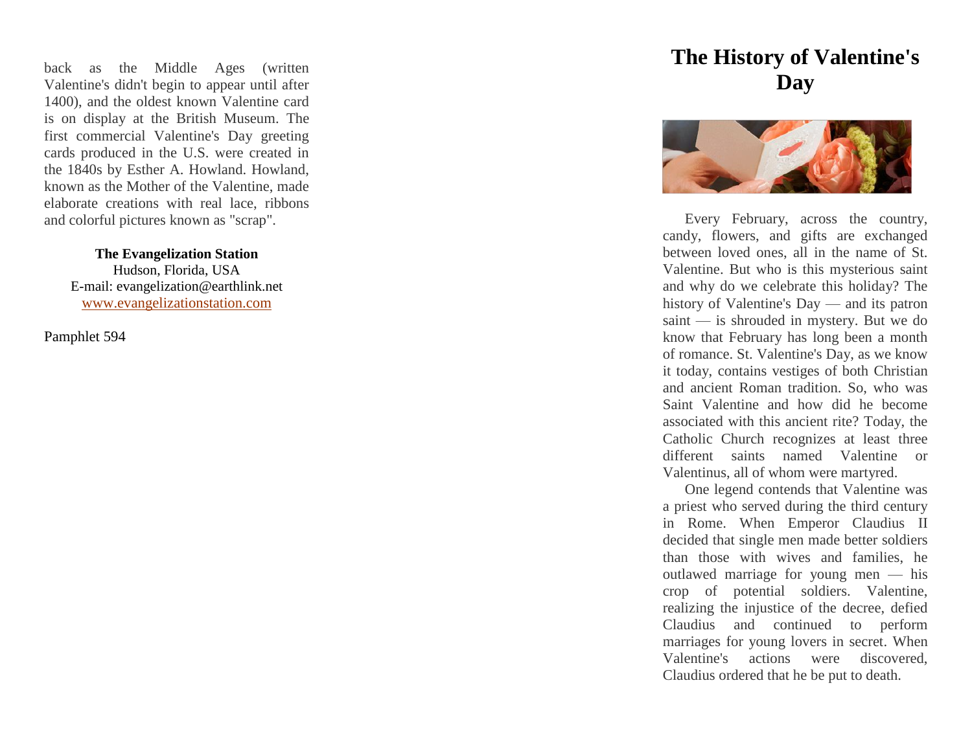back as the Middle Ages (written Valentine's didn't begin to appear until after 1400), and the oldest known Valentine card is on display at the British Museum. The first commercial Valentine's Day greeting cards produced in the U.S. were created in the 1840s by Esther A. Howland. Howland, known as the Mother of the Valentine, made elaborate creations with real lace, ribbons and colorful pictures known as "scrap".

> **The Evangelization Station** Hudson, Florida, USA E -mail: evangelization@earthlink.net [www.evangelizationstation.com](http://www.pjpiisoe.org/)

Pamphlet 594

## **The History of Valentine's Day**



Every February, across the country, candy, flowers, and gifts are exchanged between loved ones, all in the name of St. Valentine. But who is this mysterious saint and why do we celebrate this holiday? The history of Valentine's Day — and its patron saint — is shrouded in mystery. But we do know that February has long been a month of romance. St. Valentine's Day, as we know it today, contains vestiges of both Christian and ancient Roman tradition. So, who was Saint Valentine and how did he become associated with this ancient rite? Today, the Catholic Church recognizes at least three different saints named Valentine or Valentinus, all of whom were martyred.

One legend contends that Valentine was a priest who served during the third century in Rome. When Emperor Claudius II decided that single men made better soldiers than those with wives and families, he outlawed marriage for young men — his crop of potential soldiers. Valentine, realizing the injustice of the decree, defied Claudius and continued to perform marriages for young lovers in secret. When Valentine's actions were discovered, Claudius ordered that he be put to death.